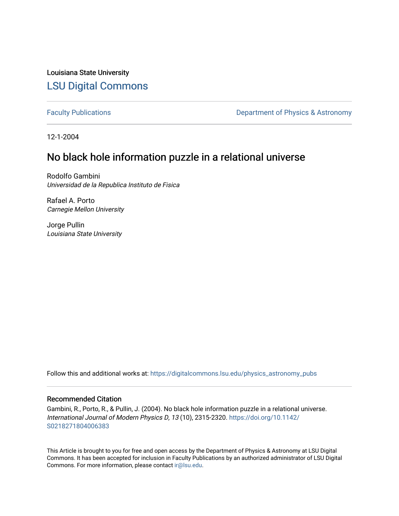Louisiana State University [LSU Digital Commons](https://digitalcommons.lsu.edu/)

[Faculty Publications](https://digitalcommons.lsu.edu/physics_astronomy_pubs) **Exercise 2 and Table 2 and Table 2 and Table 2 and Table 2 and Table 2 and Table 2 and Table 2 and Table 2 and Table 2 and Table 2 and Table 2 and Table 2 and Table 2 and Table 2 and Table 2 and Table** 

12-1-2004

## No black hole information puzzle in a relational universe

Rodolfo Gambini Universidad de la Republica Instituto de Fisica

Rafael A. Porto Carnegie Mellon University

Jorge Pullin Louisiana State University

Follow this and additional works at: [https://digitalcommons.lsu.edu/physics\\_astronomy\\_pubs](https://digitalcommons.lsu.edu/physics_astronomy_pubs?utm_source=digitalcommons.lsu.edu%2Fphysics_astronomy_pubs%2F4386&utm_medium=PDF&utm_campaign=PDFCoverPages) 

## Recommended Citation

Gambini, R., Porto, R., & Pullin, J. (2004). No black hole information puzzle in a relational universe. International Journal of Modern Physics D, 13 (10), 2315-2320. [https://doi.org/10.1142/](https://doi.org/10.1142/S0218271804006383) [S0218271804006383](https://doi.org/10.1142/S0218271804006383) 

This Article is brought to you for free and open access by the Department of Physics & Astronomy at LSU Digital Commons. It has been accepted for inclusion in Faculty Publications by an authorized administrator of LSU Digital Commons. For more information, please contact [ir@lsu.edu](mailto:ir@lsu.edu).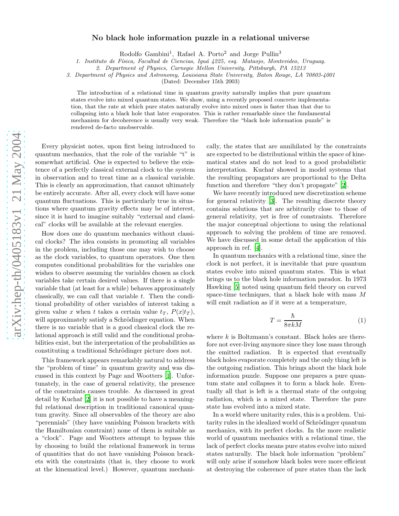## No black hole information puzzle in a relational universe

Rodolfo Gambini 1 , Rafael A. Porto <sup>2</sup> and Jorge Pullin 3

1. Instituto de Física, Facultad de Ciencias, Iguá 4225, esq. Mataojo, Montevideo, Uruguay.

2. Department of Physics, Carnegie Mellon University, Pittsburgh, PA 15213

3. Department of Physics and Astronomy, Louisiana State University, Baton Rouge, LA 70803-4001

(Dated: December 15th 2003)

The introduction of a relational time in quantum gravity naturally implies that pure quantum states evolve into mixed quantum states. We show, using a recently proposed concrete implementation, that the rate at which pure states naturally evolve into mixed ones is faster than that due to collapsing into a black hole that later evaporates. This is rather remarkable since the fundamental mechanism for decoherence is usually very weak. Therefore the "black hole information puzzle" is rendered de-facto unobservable.

Every physicist notes, upon first being introduced to quantum mechanics, that the role of the variable "t" is somewhat artificial. One is expected to believe the existence of a perfectly classical external clock to the system in observation and to treat time as a classical variable. This is clearly an approximation, that cannot ultimately be entirely accurate. After all, every clock will have some quantum fluctuations. This is particularly true in situations where quantum gravity effects may be of interest, since it is hard to imagine suitably "external and classical" clocks will be available at the relevant energies.

How does one do quantum mechanics without classical clocks? The idea consists in promoting all variables in the problem, including those one may wish to choose as the clock variables, to quantum operators. One then computes conditional probabilities for the variables one wishes to observe assuming the variables chosen as clock variables take certain desired values. If there is a single variable that (at least for a while) behaves approximately classically, we can call that variable t. Then the conditional probability of other variables of interest taking a given value x when t takes a certain value  $t_T$ ,  $P(x|t_T)$ , will approximately satisfy a Schrödinger equation. When there is no variable that is a good classical clock the relational approach is still valid and the conditional probabilities exist, but the interpretation of the probabilities as constituting a traditional Schrödinger picture does not.

This framework appears remarkably natural to address the "problem of time" in quantum gravity and was discussed in this context by Page and Wootters [\[1\]](#page-3-0). Unfortunately, in the case of general relativity, the presence of the constraints causes trouble. As discussed in great detail by Kuchař  $[2]$  it is not possible to have a meaningful relational description in traditional canonical quantum gravity. Since all observables of the theory are also "perennials" (they have vanishing Poisson brackets with the Hamiltonian constraint) none of them is suitable as a "clock". Page and Wootters attempt to bypass this by choosing to build the relational framework in terms of quantities that do not have vanishing Poisson brackets with the constraints (that is, they choose to work at the kinematical level.) However, quantum mechani-

cally, the states that are annihilated by the constraints are expected to be distributional within the space of kinematical states and do not lead to a good probabilistic interpretation. Kuchař showed in model systems that the resulting propagators are proportional to the Delta function and therefore "they don't propagate" [\[2\]](#page-3-1).

We have recently introduced new discretization scheme for general relativity [\[3](#page-3-2)]. The resulting discrete theory contains solutions that are arbitrarily close to those of general relativity, yet is free of constraints. Therefore the major conceptual objections to using the relational approach to solving the problem of time are removed. We have discussed in some detail the application of this approach in ref. [\[4\]](#page-3-3).

In quantum mechanics with a relational time, since the clock is not perfect, it is inevitable that pure quantum states evolve into mixed quantum states. This is what brings us to the black hole information paradox. In 1973 Hawking [\[5\]](#page-3-4) noted using quantum field theory on curved space-time techniques, that a black hole with mass M will emit radiation as if it were at a temperature,

$$
T = \frac{\hbar}{8\pi kM} \tag{1}
$$

where  $k$  is Boltzmann's constant. Black holes are therefore not ever-living anymore since they lose mass through the emitted radiation. It is expected that eventually black holes evaporate completely and the only thing left is the outgoing radiation. This brings about the black hole information puzzle. Suppose one prepares a pure quantum state and collapses it to form a black hole. Eventually all that is left is a thermal state of the outgoing radiation, which is a mixed state. Therefore the pure state has evolved into a mixed state.

In a world where unitarity rules, this is a problem. Unitarity rules in the idealized world of Schrödinger quantum mechanics, with its perfect clocks. In the more realistic world of quantum mechanics with a relational time, the lack of perfect clocks means pure states evolve into mixed states naturally. The black hole information "problem" will only arise if somehow black holes were more efficient at destroying the coherence of pure states than the lack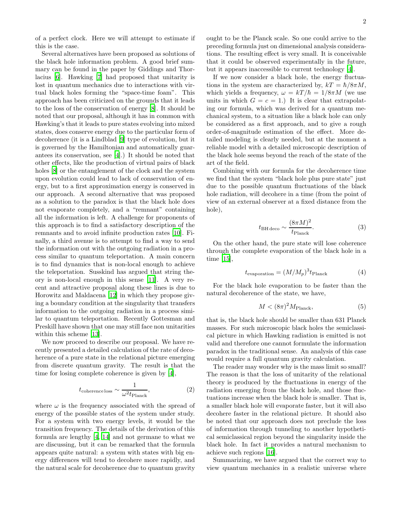of a perfect clock. Here we will attempt to estimate if this is the case.

Several alternatives have been proposed as solutions of the black hole information problem. A good brief summary can be found in the paper by Giddings and Thorlacius [\[6\]](#page-3-5). Hawking [\[7\]](#page-3-6) had proposed that unitarity is lost in quantum mechanics due to interactions with virtual black holes forming the "space-time foam". This approach has been criticized on the grounds that it leads to the loss of the conservation of energy [\[8](#page-3-7)]. It should be noted that our proposal, although it has in common with Hawking's that it leads to pure states evolving into mixed states, does conserve energy due to the particular form of decoherence (it is a Lindblad [\[9\]](#page-3-8) type of evolution, but it is governed by the Hamiltonian and automatically guarantees its conservation, see [\[4\]](#page-3-3).) It should be noted that other effects, like the production of virtual pairs of black holes [\[8](#page-3-7)] or the entanglement of the clock and the system upon evolution could lead to lack of conservation of energy, but to a first approximation energy is conserved in our approach. A second alternative that was proposed as a solution to the paradox is that the black hole does not evaporate completely, and a "remnant" containing all the information is left. A challenge for proponents of this approach is to find a satisfactory description of the remnants and to avoid infinite production rates [\[10\]](#page-3-9). Finally, a third avenue is to attempt to find a way to send the information out with the outgoing radiation in a process similar to quantum teleportation. A main concern is to find dynamics that is non-local enough to achieve the teleportation. Susskind has argued that string theory is non-local enough in this sense [\[11\]](#page-3-10). A very recent and attractive proposal along these lines is due to Horowitz and Maldacena [\[12](#page-3-11)] in which they propose giving a boundary condition at the singularity that transfers information to the outgoing radiation in a process similar to quantum teleportation. Recently Gottesman and Preskill have shown that one may still face non unitarities within this scheme [\[13](#page-3-12)].

We now proceed to describe our proposal. We have recently presented a detailed calculation of the rate of decoherence of a pure state in the relational picture emerging from discrete quantum gravity. The result is that the time for losing complete coherence is given by [\[4](#page-3-3)],

$$
t_{\text{coherence loss}} \sim \frac{1}{\omega^2 t_{\text{Planck}}},\tag{2}
$$

where  $\omega$  is the frequency associated with the spread of energy of the possible states of the system under study. For a system with two energy levels, it would be the transition frequency. The details of the derivation of this formula are lengthy [\[4,](#page-3-3) [14\]](#page-3-13) and not germane to what we are discussing, but it can be remarked that the formula appears quite natural: a system with states with big energy differences will tend to decohere more rapidly, and the natural scale for decoherence due to quantum gravity

ought to be the Planck scale. So one could arrive to the preceding formula just on dimensional analysis considerations. The resulting effect is very small. It is conceivable that it could be observed experimentally in the future, but it appears inaccessible to current technology [\[4\]](#page-3-3).

If we now consider a black hole, the energy fluctuations in the system are characterized by,  $kT = \hbar/8\pi M$ , which yields a frequency,  $\omega = kT/\hbar = 1/8\pi M$  (we use units in which  $G = c = 1$ .) It is clear that extrapolating our formula, which was derived for a quantum mechanical system, to a situation like a black hole can only be considered as a first approach, and to give a rough order-of-magnitude estimation of the effect. More detailed modeling is clearly needed, but at the moment a reliable model with a detailed microscopic description of the black hole seems beyond the reach of the state of the art of the field.

Combining with our formula for the decoherence time we find that the system "black hole plus pure state" just due to the possible quantum fluctuations of the black hole radiation, will decohere in a time (from the point of view of an external observer at a fixed distance from the hole),

$$
t_{\rm BH\,deco} \sim \frac{(8\pi M)^2}{t_{\rm Planck}}.\tag{3}
$$

On the other hand, the pure state will lose coherence through the complete evaporation of the black hole in a time [\[15\]](#page-3-14),

$$
t_{\text{evaporation}} = (M/M_p)^3 t_{\text{Planck}} \tag{4}
$$

For the black hole evaporation to be faster than the natural decoherence of the state, we have,

$$
M < (8\pi)^2 M_{\text{Planck}},\tag{5}
$$

that is, the black hole should be smaller than 631 Planck masses. For such microscopic black holes the semiclassical picture in which Hawking radiation is emitted is not valid and therefore one cannot formulate the information paradox in the traditional sense. An analysis of this case would require a full quantum gravity calculation.

The reader may wonder why is the mass limit so small? The reason is that the loss of unitarity of the relational theory is produced by the fluctuations in energy of the radiation emerging from the black hole, and those fluctuations increase when the black hole is smaller. That is, a smaller black hole will evaporate faster, but it will also decohere faster in the relational picture. It should also be noted that our approach does not preclude the loss of information through tunneling to another hypothetical semiclassical region beyond the singularity inside the black hole. In fact it provides a natural mechanism to achieve such regions [\[16\]](#page-3-15).

Summarizing, we have argued that the correct way to view quantum mechanics in a realistic universe where